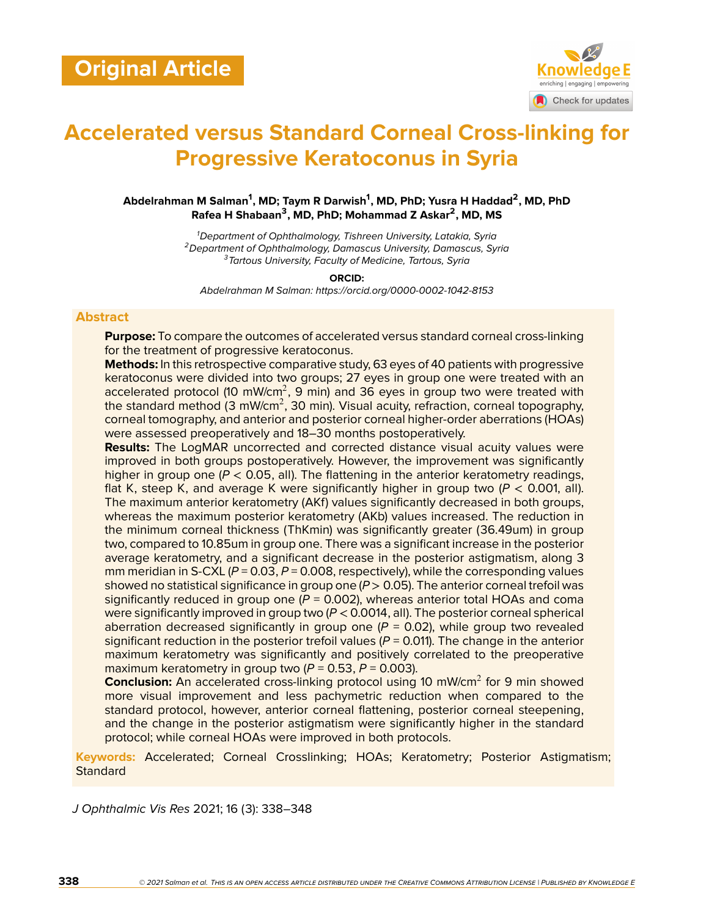

# **Accelerated versus Standard Corneal Cross-linking for Progressive Keratoconus in Syria**

**Abdelrahman M Salman<sup>1</sup> , MD; Taym R Darwish<sup>1</sup> , MD, PhD; Yusra H Haddad<sup>2</sup> , MD, PhD Rafea H Shabaan<sup>3</sup> , MD, PhD; Mohammad Z Askar<sup>2</sup> , MD, MS**

> *<sup>1</sup>Department of Ophthalmology, Tishreen University, Latakia, Syria <sup>2</sup>Department of Ophthalmology, Damascus University, Damascus, Syria <sup>3</sup>Tartous University, Faculty of Medicine, Tartous, Syria*

> > **ORCID:**

*Abdelrahman M Salman: https://orcid.org/0000-0002-1042-8153*

#### **Abstract**

**Purpose:** To compare the outcomes of accelerated versus standard corneal cross-linking for the treatment of progressive keratoconus.

**Methods:** In this retrospective comparative study, 63 eyes of 40 patients with progressive keratoconus were divided into two groups; 27 eyes in group one were treated with an accelerated protocol (10 mW/cm<sup>2</sup>, 9 min) and 36 eyes in group two were treated with the standard method (3 mW/cm<sup>2</sup>, 30 min). Visual acuity, refraction, corneal topography, corneal tomography, and anterior and posterior corneal higher-order aberrations (HOAs) were assessed preoperatively and 18–30 months postoperatively.

**Results:** The LogMAR uncorrected and corrected distance visual acuity values were improved in both groups postoperatively. However, the improvement was significantly higher in group one  $(P < 0.05$ , all). The flattening in the anterior keratometry readings, flat K, steep K, and average K were significantly higher in group two (*P* < 0.001, all). The maximum anterior keratometry (AKf) values significantly decreased in both groups, whereas the maximum posterior keratometry (AKb) values increased. The reduction in the minimum corneal thickness (ThKmin) was significantly greater (36.49um) in group two, compared to 10.85um in group one. There was a significant increase in the posterior average keratometry, and a significant decrease in the posterior astigmatism, along 3 mm meridian in S-CXL (*P* = 0.03, *P* = 0.008, respectively), while the corresponding values showed no statistical significance in group one (*P* > 0.05). The anterior corneal trefoil was significantly reduced in group one  $(P = 0.002)$ , whereas anterior total HOAs and coma were significantly improved in group two (*P* < 0.0014, all). The posterior corneal spherical aberration decreased significantly in group one  $(P = 0.02)$ , while group two revealed significant reduction in the posterior trefoil values  $(P = 0.011)$ . The change in the anterior maximum keratometry was significantly and positively correlated to the preoperative maximum keratometry in group two  $(P = 0.53, P = 0.003)$ .

**Conclusion:** An accelerated cross-linking protocol using 10 mW/cm<sup>2</sup> for 9 min showed more visual improvement and less pachymetric reduction when compared to the standard protocol, however, anterior corneal flattening, posterior corneal steepening, and the change in the posterior astigmatism were significantly higher in the standard protocol; while corneal HOAs were improved in both protocols.

**Keywords:** Accelerated; Corneal Crosslinking; HOAs; Keratometry; Posterior Astigmatism; **Standard** 

*J Ophthalmic Vis Res* 2021; 16 (3): 338–348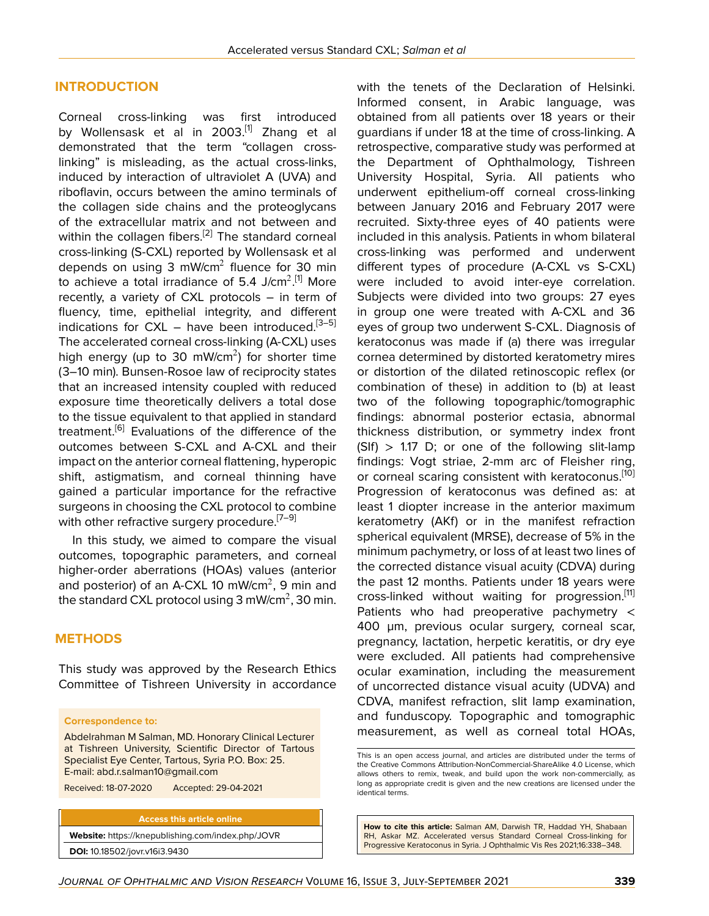#### **INTRODUCTION**

Corneal cross-linking was first introduced by Wollensask et al in 2003.<sup>[\[1](#page-9-0)]</sup> Zhang et al demonstrated that the term "collagen crosslinking" is misleading, as the actual cross-links, induced by interaction of ultraviolet A (UVA) and riboflavin, occurs between the amino terminals of the collagen side chains and the proteoglycans of the extracellular matrix and not between and within the collagen fibers.<sup>[\[2\]](#page-9-1)</sup> The standard corneal cross-linking (S-CXL) reported by Wollensask et al depends on using 3 mW/cm $^2$  fluence for 30 min to achieve a total irradiance of 5.4 J/cm $^2$ .[[1](#page-9-0)] More recently, a variety of CXL protocols – in term of fluency, time, epithelial integrity, and different indications for  $CXL$  – have been introduced.<sup>[[3](#page-9-2)-[5](#page-9-3)]</sup> The accelerated corneal cross-linking (A-CXL) uses high energy (up to 30 mW/cm<sup>2</sup>) for shorter time (3–10 min). Bunsen-Rosoe law of reciprocity states that an increased intensity coupled with reduced exposure time theoretically delivers a total dose to the tissue equivalent to that applied in standard treatment.<sup>[\[6\]](#page-9-4)</sup> Evaluations of the difference of the outcomes between S-CXL and A-CXL and their impact on the anterior corneal flattening, hyperopic shift, astigmatism, and corneal thinning have gained a particular importance for the refractive surgeons in choosing the CXL protocol to combine with other refractive surgery procedure.<sup>[[7](#page-9-5)-9]</sup>

In this study, we aimed to compare the visual outcomes, topographic parameters, and corneal higher-order aberrations (HOAs) values (anterior and posterior) of an A-CXL 10 mW/cm<sup>2</sup>, 9 min and the standard CXL protocol using 3 mW/cm $^2$ , 30 min.

#### **METHODS**

This study was approved by the Research Ethics Committee of Tishreen University in accordance

#### **Correspondence to:**

Abdelrahman M Salman, MD. Honorary Clinical Lecturer at Tishreen University, Scientific Director of Tartous Specialist Eye Center, Tartous, Syria P.O. Box: 25. E-mail: abd.r.salman10@gmail.com

Received: 18-07-2020 Accepted: 29-04-2021

**Access this article online Website:** <https://knepublishing.com/index.php/JOVR> **DOI:** 10.18502/jovr.v16i3.9430

with the tenets of the Declaration of Helsinki. Informed consent, in Arabic language, was obtained from all patients over 18 years or their guardians if under 18 at the time of cross-linking. A retrospective, comparative study was performed at the Department of Ophthalmology, Tishreen University Hospital, Syria. All patients who underwent epithelium-off corneal cross-linking between January 2016 and February 2017 were recruited. Sixty-three eyes of 40 patients were included in this analysis. Patients in whom bilateral cross-linking was performed and underwent different types of procedure (A-CXL vs S-CXL) were included to avoid inter-eye correlation. Subjects were divided into two groups: 27 eyes in group one were treated with A-CXL and 36 eyes of group two underwent S-CXL. Diagnosis of keratoconus was made if (a) there was irregular cornea determined by distorted keratometry mires or distortion of the dilated retinoscopic reflex (or combination of these) in addition to (b) at least two of the following topographic/tomographic findings: abnormal posterior ectasia, abnormal thickness distribution, or symmetry index front  $(SIf) > 1.17$  D; or one of the following slit-lamp findings: Vogt striae, 2-mm arc of Fleisher ring, or corneal scaring consistent with keratoconus.<sup>[\[10](#page-9-7)]</sup> Progression of keratoconus was defined as: at least 1 diopter increase in the anterior maximum keratometry (AKf) or in the manifest refraction spherical equivalent (MRSE), decrease of 5% in the minimum pachymetry, or loss of at least two lines of the corrected distance visual acuity (CDVA) during the past 12 months. Patients under 18 years were cross-linked without waiting for progression. $[11]$  $[11]$ Patients who had preoperative pachymetry < 400 µm, previous ocular surgery, corneal scar, pregnancy, lactation, herpetic keratitis, or dry eye were excluded. All patients had comprehensive ocular examination, including the measurement of uncorrected distance visual acuity (UDVA) and CDVA, manifest refraction, slit lamp examination, and funduscopy. Topographic and tomographic measurement, as well as corneal total HOAs,

This is an open access journal, and articles are distributed under the terms of the Creative Commons Attribution-NonCommercial-ShareAlike 4.0 License, which allows others to remix, tweak, and build upon the work non-commercially, as long as appropriate credit is given and the new creations are licensed under the identical terms.

**How to cite this article:** Salman AM, Darwish TR, Haddad YH, Shabaan RH, Askar MZ. Accelerated versus Standard Corneal Cross-linking for Progressive Keratoconus in Syria. J Ophthalmic Vis Res 2021;16:338–348.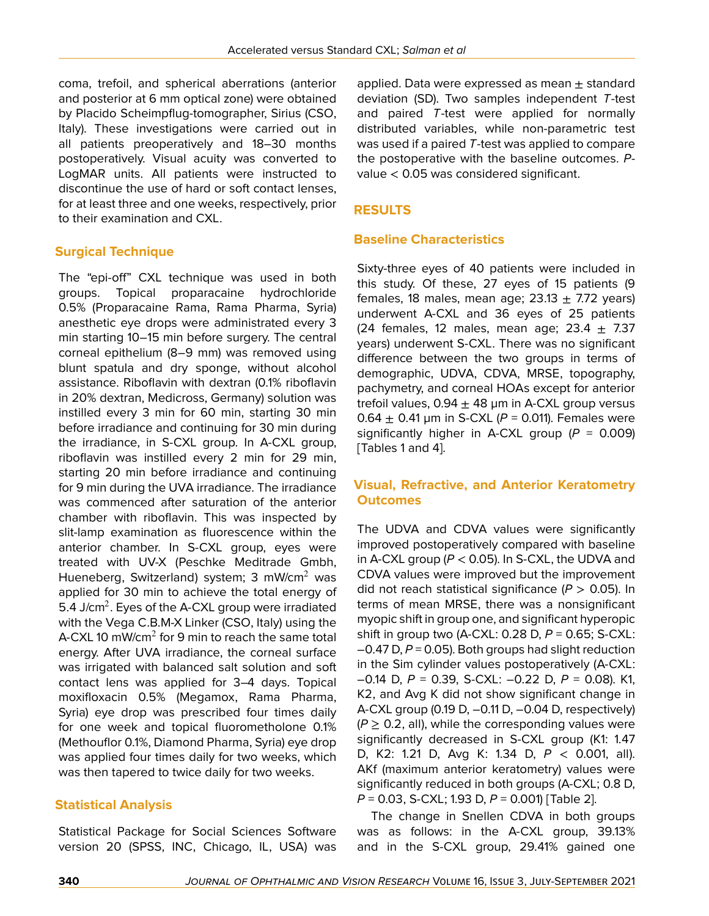coma, trefoil, and spherical aberrations (anterior and posterior at 6 mm optical zone) were obtained by Placido Scheimpflug-tomographer, Sirius (CSO, Italy). These investigations were carried out in all patients preoperatively and 18–30 months postoperatively. Visual acuity was converted to LogMAR units. All patients were instructed to discontinue the use of hard or soft contact lenses, for at least three and one weeks, respectively, prior to their examination and CXL.

### **Surgical Technique**

The "epi-off" CXL technique was used in both groups. Topical proparacaine hydrochloride 0.5% (Proparacaine Rama, Rama Pharma, Syria) anesthetic eye drops were administrated every 3 min starting 10–15 min before surgery. The central corneal epithelium (8–9 mm) was removed using blunt spatula and dry sponge, without alcohol assistance. Riboflavin with dextran (0.1% riboflavin in 20% dextran, Medicross, Germany) solution was instilled every 3 min for 60 min, starting 30 min before irradiance and continuing for 30 min during the irradiance, in S-CXL group. In A-CXL group, riboflavin was instilled every 2 min for 29 min, starting 20 min before irradiance and continuing for 9 min during the UVA irradiance. The irradiance was commenced after saturation of the anterior chamber with riboflavin. This was inspected by slit-lamp examination as fluorescence within the anterior chamber. In S-CXL group, eyes were treated with UV-X (Peschke Meditrade Gmbh, Hueneberg, Switzerland) system; 3 mW/cm<sup>2</sup> was applied for 30 min to achieve the total energy of 5.4 J/cm<sup>2</sup>. Eyes of the A-CXL group were irradiated with the Vega C.B.M-X Linker (CSO, Italy) using the A-CXL 10 mW/cm $^2$  for 9 min to reach the same total energy. After UVA irradiance, the corneal surface was irrigated with balanced salt solution and soft contact lens was applied for 3–4 days. Topical moxifloxacin 0.5% (Megamox, Rama Pharma, Syria) eye drop was prescribed four times daily for one week and topical fluorometholone 0.1% (Methouflor 0.1%, Diamond Pharma, Syria) eye drop was applied four times daily for two weeks, which was then tapered to twice daily for two weeks.

#### **Statistical Analysis**

Statistical Package for Social Sciences Software version 20 (SPSS, INC, Chicago, IL, USA) was

applied. Data were expressed as mean  $\pm$  standard deviation (SD). Two samples independent *T*-test and paired *T*-test were applied for normally distributed variables, while non-parametric test was used if a paired *T*-test was applied to compare the postoperative with the baseline outcomes. *P*value < 0.05 was considered significant.

#### **RESULTS**

#### **Baseline Characteristics**

Sixty-three eyes of 40 patients were included in this study. Of these, 27 eyes of 15 patients (9 females, 18 males, mean age;  $23.13 \pm 7.72$  years) underwent A-CXL and 36 eyes of 25 patients (24 females, 12 males, mean age;  $23.4 \pm 7.37$ years) underwent S-CXL. There was no significant difference between the two groups in terms of demographic, UDVA, CDVA, MRSE, topography, pachymetry, and corneal HOAs except for anterior trefoil values,  $0.94 \pm 48$  µm in A-CXL group versus 0.64  $\pm$  0.41 µm in S-CXL ( $P = 0.011$ ). Females were significantly higher in A-CXL group  $(P = 0.009)$ [Tables 1 and 4].

# **Visual, Refractive, and Anterior Keratometry Outcomes**

The UDVA and CDVA values were significantly improved postoperatively compared with baseline in A-CXL group (*P* < 0.05). In S-CXL, the UDVA and CDVA values were improved but the improvement did not reach statistical significance (*P* > 0.05). In terms of mean MRSE, there was a nonsignificant myopic shift in group one, and significant hyperopic shift in group two (A-CXL: 0.28 D, *P* = 0.65; S-CXL: –0.47 D, *P* = 0.05). Both groups had slight reduction in the Sim cylinder values postoperatively (A-CXL: –0.14 D, *P* = 0.39, S-CXL: –0.22 D, *P* = 0.08). K1, K2, and Avg K did not show significant change in A-CXL group (0.19 D, –0.11 D, –0.04 D, respectively)  $(P \ge 0.2,$  all), while the corresponding values were significantly decreased in S-CXL group (K1: 1.47 D, K2: 1.21 D, Avg K: 1.34 D, *P* < 0.001, all). AKf (maximum anterior keratometry) values were significantly reduced in both groups (A-CXL; 0.8 D, *P* = 0.03, S-CXL; 1.93 D, *P* = 0.001) [Table 2].

The change in Snellen CDVA in both groups was as follows: in the A-CXL group, 39.13% and in the S-CXL group, 29.41% gained one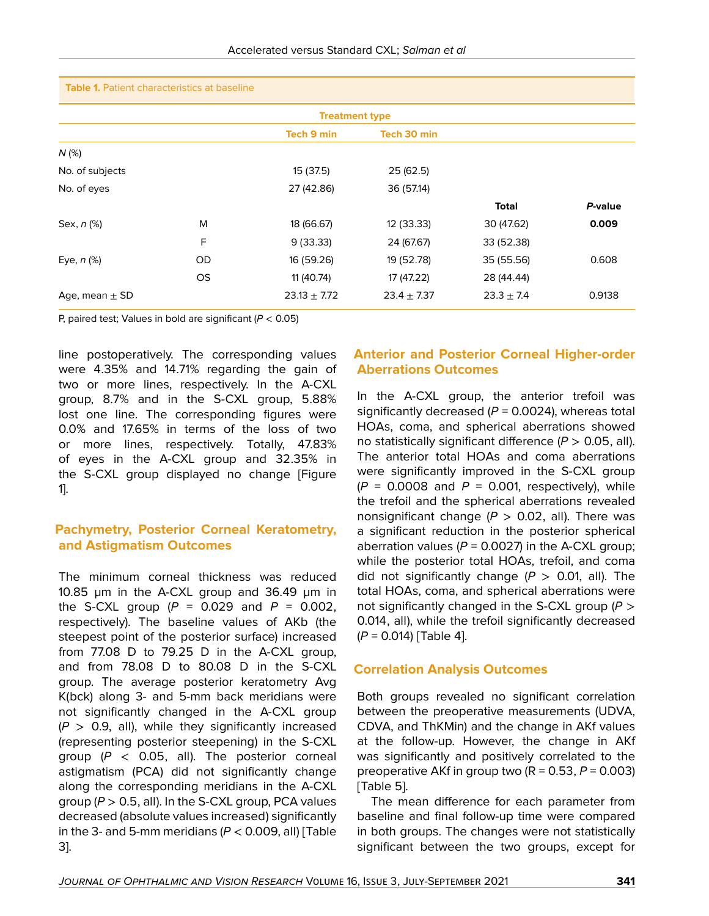| <b>Table 1.</b> Patient characteristics at baseline |  |  |
|-----------------------------------------------------|--|--|
|-----------------------------------------------------|--|--|

| <b>Treatment type</b> |           |                   |                 |                |         |  |  |
|-----------------------|-----------|-------------------|-----------------|----------------|---------|--|--|
|                       |           | <b>Tech 9 min</b> | Tech 30 min     |                |         |  |  |
| $N$ (%)               |           |                   |                 |                |         |  |  |
| No. of subjects       |           | 15 (37.5)         | 25(62.5)        |                |         |  |  |
| No. of eyes           |           | 27 (42.86)        | 36 (57.14)      |                |         |  |  |
|                       |           |                   |                 | <b>Total</b>   | P-value |  |  |
| Sex, n (%)            | M         | 18 (66.67)        | 12 (33.33)      | 30 (47.62)     | 0.009   |  |  |
|                       | F         | 9(33.33)          | 24 (67.67)      | 33 (52.38)     |         |  |  |
| Eye, $n$ (%)          | OD        | 16 (59.26)        | 19 (52.78)      | 35 (55.56)     | 0.608   |  |  |
|                       | <b>OS</b> | 11 (40.74)        | 17 (47.22)      | 28 (44.44)     |         |  |  |
| Age, mean $\pm$ SD    |           | $23.13 \pm 7.72$  | $23.4 \pm 7.37$ | $23.3 \pm 7.4$ | 0.9138  |  |  |

P, paired test; Values in bold are significant (*P* < 0.05)

line postoperatively. The corresponding values were 4.35% and 14.71% regarding the gain of two or more lines, respectively. In the A-CXL group, 8.7% and in the S-CXL group, 5.88% lost one line. The corresponding figures were 0.0% and 17.65% in terms of the loss of two or more lines, respectively. Totally, 47.83% of eyes in the A-CXL group and 32.35% in the S-CXL group displayed no change [Figure 1].

#### **Pachymetry, Posterior Corneal Keratometry, and Astigmatism Outcomes**

The minimum corneal thickness was reduced 10.85 µm in the A-CXL group and 36.49 µm in the S-CXL group  $(P = 0.029$  and  $P = 0.002$ , respectively). The baseline values of AKb (the steepest point of the posterior surface) increased from 77.08 D to 79.25 D in the A-CXL group, and from 78.08 D to 80.08 D in the S-CXL group. The average posterior keratometry Avg K(bck) along 3- and 5-mm back meridians were not significantly changed in the A-CXL group  $(P > 0.9,$  all), while they significantly increased (representing posterior steepening) in the S-CXL group (*P* < 0.05, all). The posterior corneal astigmatism (PCA) did not significantly change along the corresponding meridians in the A-CXL group (*P* > 0.5, all). In the S-CXL group, PCA values decreased (absolute values increased) significantly in the 3- and 5-mm meridians  $(P < 0.009$ , all) [Table 3].

# **Anterior and Posterior Corneal Higher-order Aberrations Outcomes**

In the A-CXL group, the anterior trefoil was significantly decreased  $(P = 0.0024)$ , whereas total HOAs, coma, and spherical aberrations showed no statistically significant difference (*P* > 0.05, all). The anterior total HOAs and coma aberrations were significantly improved in the S-CXL group  $(P = 0.0008$  and  $P = 0.001$ , respectively), while the trefoil and the spherical aberrations revealed nonsignificant change  $(P > 0.02,$  all). There was a significant reduction in the posterior spherical aberration values  $(P = 0.0027)$  in the A-CXL group; while the posterior total HOAs, trefoil, and coma did not significantly change  $(P > 0.01,$  all). The total HOAs, coma, and spherical aberrations were not significantly changed in the S-CXL group (*P* > 0.014, all), while the trefoil significantly decreased (*P* = 0.014) [Table 4].

#### **Correlation Analysis Outcomes**

Both groups revealed no significant correlation between the preoperative measurements (UDVA, CDVA, and ThKMin) and the change in AKf values at the follow-up. However, the change in AKf was significantly and positively correlated to the preoperative AKf in group two  $(R = 0.53, P = 0.003)$ [Table 5].

The mean difference for each parameter from baseline and final follow-up time were compared in both groups. The changes were not statistically significant between the two groups, except for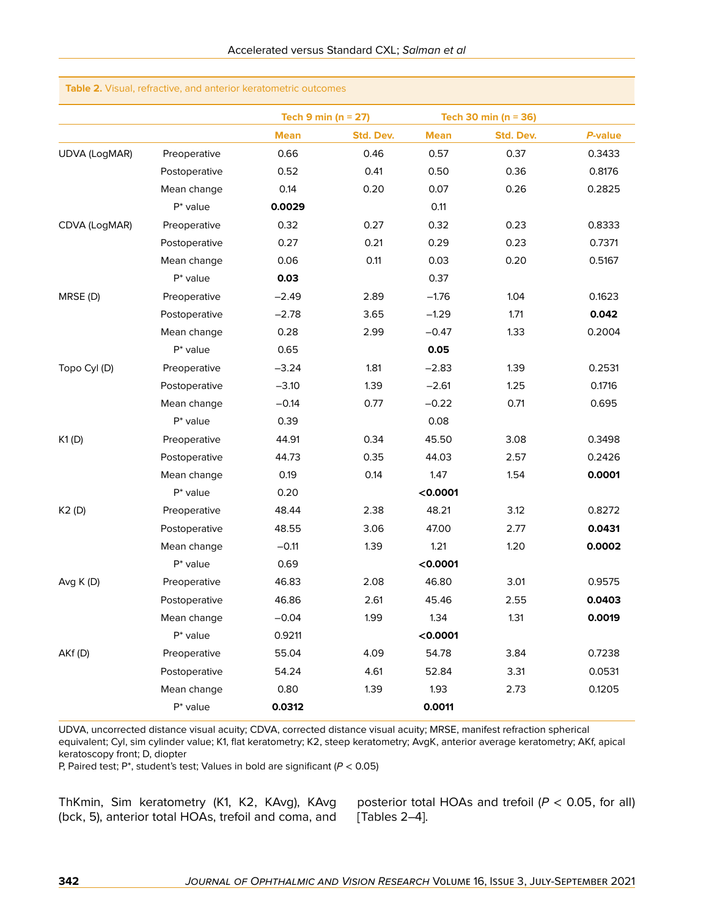|                      |               | Tech 9 min ( $n = 27$ ) |           |             | Tech 30 min ( $n = 36$ ) |         |
|----------------------|---------------|-------------------------|-----------|-------------|--------------------------|---------|
|                      |               | <b>Mean</b>             | Std. Dev. | <b>Mean</b> | Std. Dev.                | P-value |
| <b>UDVA (LogMAR)</b> | Preoperative  | 0.66                    | 0.46      | 0.57        | 0.37                     | 0.3433  |
|                      | Postoperative | 0.52                    | 0.41      | 0.50        | 0.36                     | 0.8176  |
|                      | Mean change   | 0.14                    | 0.20      | 0.07        | 0.26                     | 0.2825  |
|                      | $P^*$ value   | 0.0029                  |           | 0.11        |                          |         |
| CDVA (LogMAR)        | Preoperative  | 0.32                    | 0.27      | 0.32        | 0.23                     | 0.8333  |
|                      | Postoperative | 0.27                    | 0.21      | 0.29        | 0.23                     | 0.7371  |
|                      | Mean change   | 0.06                    | 0.11      | 0.03        | 0.20                     | 0.5167  |
|                      | $P^*$ value   | 0.03                    |           | 0.37        |                          |         |
| MRSE (D)             | Preoperative  | $-2.49$                 | 2.89      | $-1.76$     | 1.04                     | 0.1623  |
|                      | Postoperative | $-2.78$                 | 3.65      | $-1.29$     | 1.71                     | 0.042   |
|                      | Mean change   | 0.28                    | 2.99      | $-0.47$     | 1.33                     | 0.2004  |
|                      | $P^*$ value   | 0.65                    |           | 0.05        |                          |         |
| Topo Cyl (D)         | Preoperative  | $-3.24$                 | 1.81      | $-2.83$     | 1.39                     | 0.2531  |
|                      | Postoperative | $-3.10$                 | 1.39      | $-2.61$     | 1.25                     | 0.1716  |
|                      | Mean change   | $-0.14$                 | 0.77      | $-0.22$     | 0.71                     | 0.695   |
|                      | $P^*$ value   | 0.39                    |           | 0.08        |                          |         |
| K1(D)                | Preoperative  | 44.91                   | 0.34      | 45.50       | 3.08                     | 0.3498  |
|                      | Postoperative | 44.73                   | 0.35      | 44.03       | 2.57                     | 0.2426  |
|                      | Mean change   | 0.19                    | 0.14      | 1.47        | 1.54                     | 0.0001  |
|                      | $P^*$ value   | 0.20                    |           | < 0.0001    |                          |         |
| K2 (D)               | Preoperative  | 48.44                   | 2.38      | 48.21       | 3.12                     | 0.8272  |
|                      | Postoperative | 48.55                   | 3.06      | 47.00       | 2.77                     | 0.0431  |
|                      | Mean change   | $-0.11$                 | 1.39      | 1.21        | 1.20                     | 0.0002  |
|                      | $P^*$ value   | 0.69                    |           | < 0.0001    |                          |         |
| Avg K (D)            | Preoperative  | 46.83                   | 2.08      | 46.80       | 3.01                     | 0.9575  |
|                      | Postoperative | 46.86                   | 2.61      | 45.46       | 2.55                     | 0.0403  |
|                      | Mean change   | $-0.04$                 | 1.99      | 1.34        | 1.31                     | 0.0019  |
|                      | $P^*$ value   | 0.9211                  |           | < 0.0001    |                          |         |
| AKf(D)               | Preoperative  | 55.04                   | 4.09      | 54.78       | 3.84                     | 0.7238  |
|                      | Postoperative | 54.24                   | 4.61      | 52.84       | 3.31                     | 0.0531  |
|                      | Mean change   | 0.80                    | 1.39      | 1.93        | 2.73                     | 0.1205  |
|                      | $P^*$ value   | 0.0312                  |           | 0.0011      |                          |         |

#### **Table 2.** Visual, refractive, and anterior keratometric outcomes

UDVA, uncorrected distance visual acuity; CDVA, corrected distance visual acuity; MRSE, manifest refraction spherical equivalent; Cyl, sim cylinder value; K1, flat keratometry; K2, steep keratometry; AvgK, anterior average keratometry; AKf, apical keratoscopy front; D, diopter

P, Paired test; P\*, student's test; Values in bold are significant (*P* < 0.05)

ThKmin, Sim keratometry (K1, K2, KAvg), KAvg (bck, 5), anterior total HOAs, trefoil and coma, and

posterior total HOAs and trefoil (*P* < 0.05, for all) [Tables 2–4].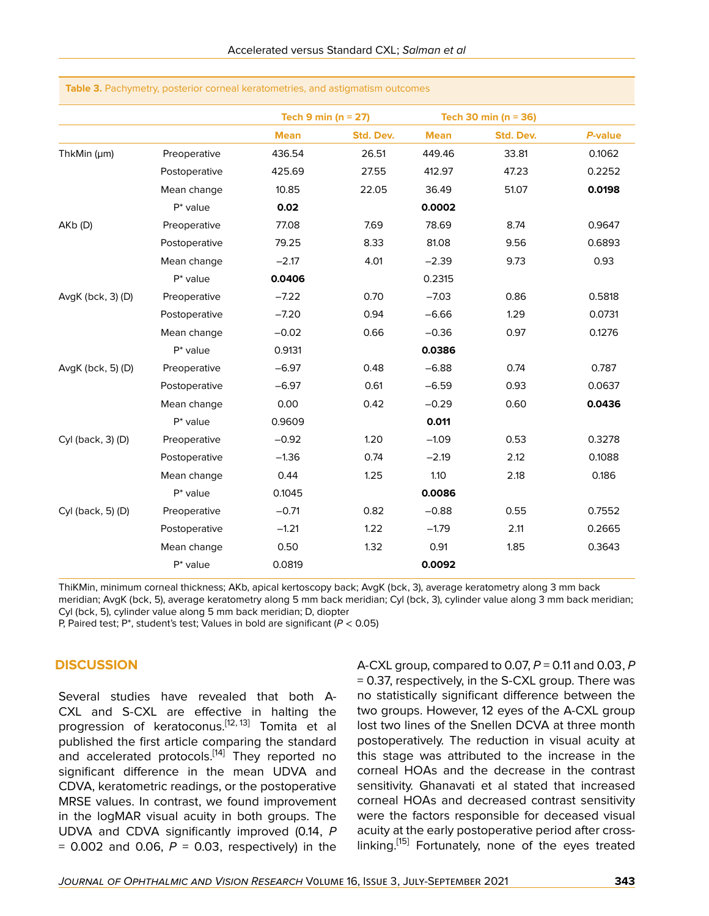|                   |               | Tech 9 min ( $n = 27$ ) |           |             | Tech 30 min ( $n = 36$ ) |         |
|-------------------|---------------|-------------------------|-----------|-------------|--------------------------|---------|
|                   |               | <b>Mean</b>             | Std. Dev. | <b>Mean</b> | Std. Dev.                | P-value |
| ThkMin (µm)       | Preoperative  | 436.54                  | 26.51     | 449.46      | 33.81                    | 0.1062  |
|                   | Postoperative | 425.69                  | 27.55     | 412.97      | 47.23                    | 0.2252  |
|                   | Mean change   | 10.85                   | 22.05     | 36.49       | 51.07                    | 0.0198  |
|                   | $P^*$ value   | 0.02                    |           | 0.0002      |                          |         |
| AKb (D)           | Preoperative  | 77.08                   | 7.69      | 78.69       | 8.74                     | 0.9647  |
|                   | Postoperative | 79.25                   | 8.33      | 81.08       | 9.56                     | 0.6893  |
|                   | Mean change   | $-2.17$                 | 4.01      | $-2.39$     | 9.73                     | 0.93    |
|                   | $P^*$ value   | 0.0406                  |           | 0.2315      |                          |         |
| AvgK (bck, 3) (D) | Preoperative  | $-7.22$                 | 0.70      | $-7.03$     | 0.86                     | 0.5818  |
|                   | Postoperative | $-7.20$                 | 0.94      | $-6.66$     | 1.29                     | 0.0731  |
|                   | Mean change   | $-0.02$                 | 0.66      | $-0.36$     | 0.97                     | 0.1276  |
|                   | $P^*$ value   | 0.9131                  |           | 0.0386      |                          |         |
| AvgK (bck, 5) (D) | Preoperative  | $-6.97$                 | 0.48      | $-6.88$     | 0.74                     | 0.787   |
|                   | Postoperative | $-6.97$                 | 0.61      | $-6.59$     | 0.93                     | 0.0637  |
|                   | Mean change   | 0.00                    | 0.42      | $-0.29$     | 0.60                     | 0.0436  |
|                   | $P^*$ value   | 0.9609                  |           | 0.011       |                          |         |
| Cyl (back, 3) (D) | Preoperative  | $-0.92$                 | 1.20      | $-1.09$     | 0.53                     | 0.3278  |
|                   | Postoperative | $-1.36$                 | 0.74      | $-2.19$     | 2.12                     | 0.1088  |
|                   | Mean change   | 0.44                    | 1.25      | 1.10        | 2.18                     | 0.186   |
|                   | $P^*$ value   | 0.1045                  |           | 0.0086      |                          |         |
| Cyl (back, 5) (D) | Preoperative  | $-0.71$                 | 0.82      | $-0.88$     | 0.55                     | 0.7552  |
|                   | Postoperative | $-1.21$                 | 1.22      | $-1.79$     | 2.11                     | 0.2665  |
|                   | Mean change   | 0.50                    | 1.32      | 0.91        | 1.85                     | 0.3643  |
|                   | $P^*$ value   | 0.0819                  |           | 0.0092      |                          |         |
|                   |               |                         |           |             |                          |         |

**Table 3.** Pachymetry, posterior corneal keratometries, and astigmatism outcomes

ThiKMin, minimum corneal thickness; AKb, apical kertoscopy back; AvgK (bck, 3), average keratometry along 3 mm back meridian; AvgK (bck, 5), average keratometry along 5 mm back meridian; Cyl (bck, 3), cylinder value along 3 mm back meridian; Cyl (bck, 5), cylinder value along 5 mm back meridian; D, diopter

P, Paired test; P\*, student's test; Values in bold are significant (*P* < 0.05)

### **DISCUSSION**

Several studies have revealed that both A-CXL and S-CXL are effective in halting the progression of keratoconus.<sup>[\[12](#page-9-9), [13\]](#page-9-10)</sup> Tomita et al published the first article comparing the standard and accelerated protocols.<sup>[[14](#page-9-11)]</sup> They reported no significant difference in the mean UDVA and CDVA, keratometric readings, or the postoperative MRSE values. In contrast, we found improvement in the logMAR visual acuity in both groups. The UDVA and CDVA significantly improved (0.14, *P*  $= 0.002$  and 0.06,  $P = 0.03$ , respectively) in the

A-CXL group, compared to 0.07, *P* = 0.11 and 0.03, *P* = 0.37, respectively, in the S-CXL group. There was no statistically significant difference between the two groups. However, 12 eyes of the A-CXL group lost two lines of the Snellen DCVA at three month postoperatively. The reduction in visual acuity at this stage was attributed to the increase in the corneal HOAs and the decrease in the contrast sensitivity. Ghanavati et al stated that increased corneal HOAs and decreased contrast sensitivity were the factors responsible for deceased visual acuity at the early postoperative period after cross-linking.<sup>[\[15\]](#page-9-12)</sup> Fortunately, none of the eyes treated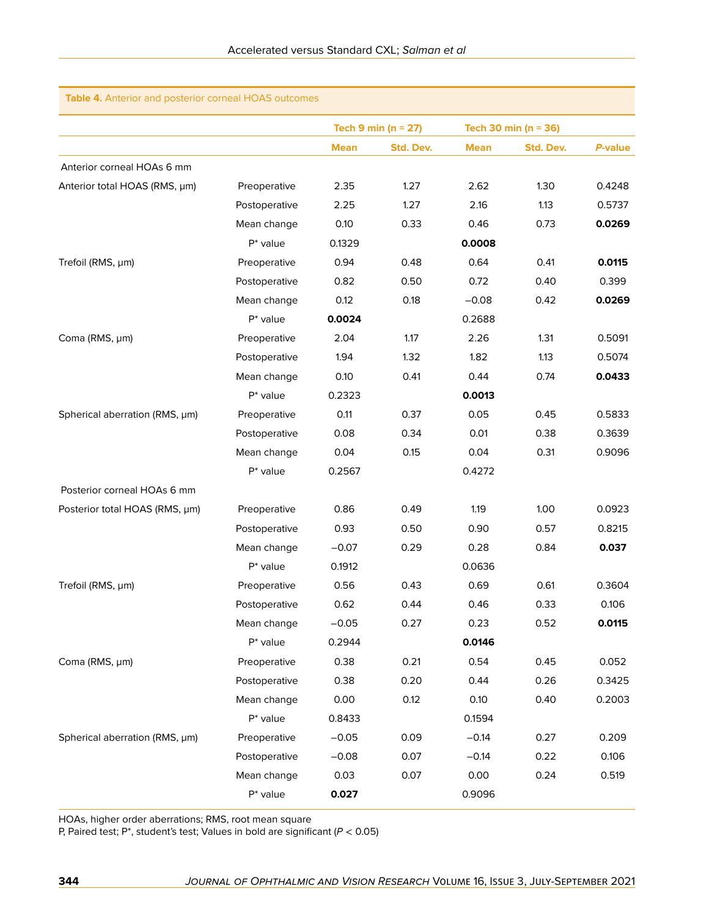### **Table 4.** Anterior and posterior corneal HOAS outcomes

|                                |               |             | Tech 9 min ( $n = 27$ ) |             | Tech 30 min ( $n = 36$ ) |         |
|--------------------------------|---------------|-------------|-------------------------|-------------|--------------------------|---------|
|                                |               | <b>Mean</b> | Std. Dev.               | <b>Mean</b> | Std. Dev.                | P-value |
| Anterior corneal HOAs 6 mm     |               |             |                         |             |                          |         |
| Anterior total HOAS (RMS, µm)  | Preoperative  | 2.35        | 1.27                    | 2.62        | 1.30                     | 0.4248  |
|                                | Postoperative | 2.25        | 1.27                    | 2.16        | 1.13                     | 0.5737  |
|                                | Mean change   | 0.10        | 0.33                    | 0.46        | 0.73                     | 0.0269  |
|                                | $P^*$ value   | 0.1329      |                         | 0.0008      |                          |         |
| Trefoil (RMS, µm)              | Preoperative  | 0.94        | 0.48                    | 0.64        | 0.41                     | 0.0115  |
|                                | Postoperative | 0.82        | 0.50                    | 0.72        | 0.40                     | 0.399   |
|                                | Mean change   | 0.12        | 0.18                    | $-0.08$     | 0.42                     | 0.0269  |
|                                | $P^*$ value   | 0.0024      |                         | 0.2688      |                          |         |
| Coma (RMS, µm)                 | Preoperative  | 2.04        | 1.17                    | 2.26        | 1.31                     | 0.5091  |
|                                | Postoperative | 1.94        | 1.32                    | 1.82        | 1.13                     | 0.5074  |
|                                | Mean change   | 0.10        | 0.41                    | 0.44        | 0.74                     | 0.0433  |
|                                | $P^*$ value   | 0.2323      |                         | 0.0013      |                          |         |
| Spherical aberration (RMS, µm) | Preoperative  | 0.11        | 0.37                    | 0.05        | 0.45                     | 0.5833  |
|                                | Postoperative | 0.08        | 0.34                    | 0.01        | 0.38                     | 0.3639  |
|                                | Mean change   | 0.04        | 0.15                    | 0.04        | 0.31                     | 0.9096  |
|                                | $P^*$ value   | 0.2567      |                         | 0.4272      |                          |         |
| Posterior corneal HOAs 6 mm    |               |             |                         |             |                          |         |
| Posterior total HOAS (RMS, µm) | Preoperative  | 0.86        | 0.49                    | 1.19        | 1.00                     | 0.0923  |
|                                | Postoperative | 0.93        | 0.50                    | 0.90        | 0.57                     | 0.8215  |
|                                | Mean change   | $-0.07$     | 0.29                    | 0.28        | 0.84                     | 0.037   |
|                                | $P^*$ value   | 0.1912      |                         | 0.0636      |                          |         |
| Trefoil (RMS, µm)              | Preoperative  | 0.56        | 0.43                    | 0.69        | 0.61                     | 0.3604  |
|                                | Postoperative | 0.62        | 0.44                    | 0.46        | 0.33                     | 0.106   |
|                                | Mean change   | $-0.05$     | 0.27                    | 0.23        | 0.52                     | 0.0115  |
|                                | $P^*$ value   | 0.2944      |                         | 0.0146      |                          |         |
| Coma (RMS, µm)                 | Preoperative  | 0.38        | 0.21                    | 0.54        | 0.45                     | 0.052   |
|                                | Postoperative | 0.38        | 0.20                    | 0.44        | 0.26                     | 0.3425  |
|                                | Mean change   | 0.00        | 0.12                    | 0.10        | 0.40                     | 0.2003  |
|                                | $P^*$ value   | 0.8433      |                         | 0.1594      |                          |         |
| Spherical aberration (RMS, µm) | Preoperative  | $-0.05$     | 0.09                    | $-0.14$     | 0.27                     | 0.209   |
|                                | Postoperative | $-0.08$     | 0.07                    | $-0.14$     | 0.22                     | 0.106   |
|                                | Mean change   | 0.03        | 0.07                    | 0.00        | 0.24                     | 0.519   |
|                                | $P^*$ value   | 0.027       |                         | 0.9096      |                          |         |

HOAs, higher order aberrations; RMS, root mean square

P, Paired test; P\*, student's test; Values in bold are significant (*P* < 0.05)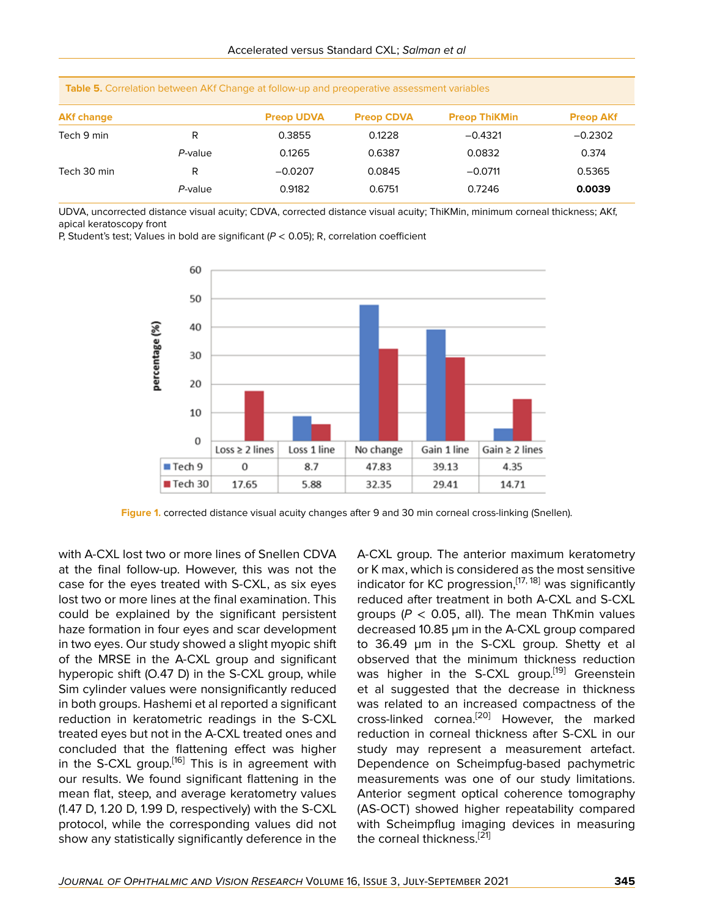| Table 5. Correlation between AKT Change at ionow-up and preoperative assessment variables |         |                   |                   |                      |                  |  |  |
|-------------------------------------------------------------------------------------------|---------|-------------------|-------------------|----------------------|------------------|--|--|
| <b>AKf change</b>                                                                         |         | <b>Preop UDVA</b> | <b>Preop CDVA</b> | <b>Preop ThiKMin</b> | <b>Preop AKf</b> |  |  |
| Tech 9 min                                                                                | R       | 0.3855            | 0.1228            | $-0.4321$            | $-0.2302$        |  |  |
|                                                                                           | P-value | 0.1265            | 0.6387            | 0.0832               | 0.374            |  |  |
| Tech 30 min                                                                               | R       | $-0.0207$         | 0.0845            | $-0.0711$            | 0.5365           |  |  |
|                                                                                           | P-value | 0.9182            | 0.6751            | 0.7246               | 0.0039           |  |  |

**Table 5.** Correlation between AKf Change at follow-up and preoperative assessment variables

UDVA, uncorrected distance visual acuity; CDVA, corrected distance visual acuity; ThiKMin, minimum corneal thickness; AKf, apical keratoscopy front

P, Student's test; Values in bold are significant (*P* < 0.05); R, correlation coefficient



**Figure 1.** corrected distance visual acuity changes after 9 and 30 min corneal cross-linking (Snellen).

with A-CXL lost two or more lines of Snellen CDVA at the final follow-up. However, this was not the case for the eyes treated with S-CXL, as six eyes lost two or more lines at the final examination. This could be explained by the significant persistent haze formation in four eyes and scar development in two eyes. Our study showed a slight myopic shift of the MRSE in the A-CXL group and significant hyperopic shift (O.47 D) in the S-CXL group, while Sim cylinder values were nonsignificantly reduced in both groups. Hashemi et al reported a significant reduction in keratometric readings in the S-CXL treated eyes but not in the A-CXL treated ones and concluded that the flattening effect was higher in the S-CXL group.[[16\]](#page-9-13) This is in agreement with our results. We found significant flattening in the mean flat, steep, and average keratometry values (1.47 D, 1.20 D, 1.99 D, respectively) with the S-CXL protocol, while the corresponding values did not show any statistically significantly deference in the

A-CXL group. The anterior maximum keratometry or K max, which is considered as the most sensitive indicator for KC progression,  $[17, 18]$  $[17, 18]$  $[17, 18]$  was significantly reduced after treatment in both A-CXL and S-CXL groups ( $P < 0.05$ , all). The mean ThKmin values decreased 10.85 µm in the A-CXL group compared to 36.49 µm in the S-CXL group. Shetty et al observed that the minimum thickness reduction was higher in the S-CXL group.<sup>[[19\]](#page-9-16)</sup> Greenstein et al suggested that the decrease in thickness was related to an increased compactness of the cross-linked cornea.<sup>[[20\]](#page-9-17)</sup> However, the marked reduction in corneal thickness after S-CXL in our study may represent a measurement artefact. Dependence on Scheimpfug-based pachymetric measurements was one of our study limitations. Anterior segment optical coherence tomography (AS-OCT) showed higher repeatability compared with Scheimpflug imaging devices in measuring the corneal thickness.<sup>[[21\]](#page-9-18)</sup>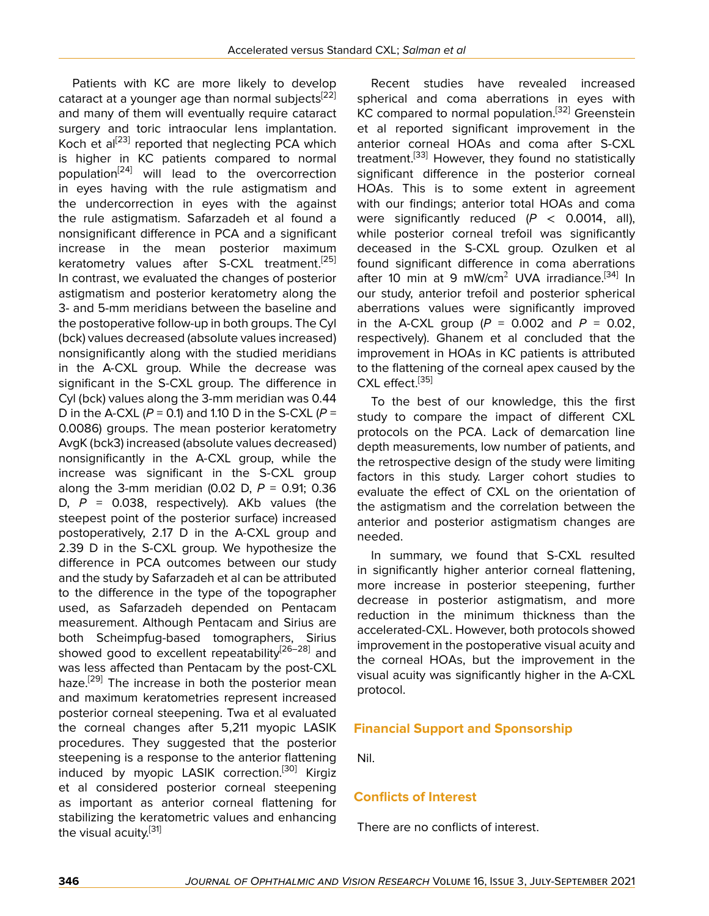Patients with KC are more likely to develop cataract at a younger age than normal subjects<sup>[\[22](#page-9-19)]</sup> and many of them will eventually require cataract surgery and toric intraocular lens implantation. Koch et al<sup>[[23](#page-9-20)]</sup> reported that neglecting PCA which is higher in KC patients compared to normal population[\[24](#page-9-21)] will lead to the overcorrection in eyes having with the rule astigmatism and the undercorrection in eyes with the against the rule astigmatism. Safarzadeh et al found a nonsignificant difference in PCA and a significant increase in the mean posterior maximum keratometry values after S-CXL treatment.<sup>[\[25](#page-9-22)]</sup> In contrast, we evaluated the changes of posterior astigmatism and posterior keratometry along the 3- and 5-mm meridians between the baseline and the postoperative follow-up in both groups. The Cyl (bck) values decreased (absolute values increased) nonsignificantly along with the studied meridians in the A-CXL group. While the decrease was significant in the S-CXL group. The difference in Cyl (bck) values along the 3-mm meridian was 0.44 D in the A-CXL (*P* = 0.1) and 1.10 D in the S-CXL (*P* = 0.0086) groups. The mean posterior keratometry AvgK (bck3) increased (absolute values decreased) nonsignificantly in the A-CXL group, while the increase was significant in the S-CXL group along the 3-mm meridian (0.02 D, *P* = 0.91; 0.36 D,  $P = 0.038$ , respectively). AKb values (the steepest point of the posterior surface) increased postoperatively, 2.17 D in the A-CXL group and 2.39 D in the S-CXL group. We hypothesize the difference in PCA outcomes between our study and the study by Safarzadeh et al can be attributed to the difference in the type of the topographer used, as Safarzadeh depended on Pentacam measurement. Although Pentacam and Sirius are both Scheimpfug-based tomographers, Sirius showed good to excellent repeatability<sup>[\[26](#page-9-23)[–28\]](#page-9-24)</sup> and was less affected than Pentacam by the post-CXL haze.<sup>[[29\]](#page-9-25)</sup> The increase in both the posterior mean and maximum keratometries represent increased posterior corneal steepening. Twa et al evaluated the corneal changes after 5,211 myopic LASIK procedures. They suggested that the posterior steepening is a response to the anterior flattening induced by myopic LASIK correction.<sup>[[30\]](#page-10-0)</sup> Kirgiz et al considered posterior corneal steepening as important as anterior corneal flattening for stabilizing the keratometric values and enhancing the visual acuity.<sup>[[31](#page-10-1)]</sup>

Recent studies have revealed increased spherical and coma aberrations in eyes with KC compared to normal population.<sup>[[32\]](#page-10-2)</sup> Greenstein et al reported significant improvement in the anterior corneal HOAs and coma after S-CXL treatment.[\[33\]](#page-10-3) However, they found no statistically significant difference in the posterior corneal HOAs. This is to some extent in agreement with our findings; anterior total HOAs and coma were significantly reduced (*P* < 0.0014, all), while posterior corneal trefoil was significantly deceased in the S-CXL group. Ozulken et al found significant difference in coma aberrations after 10 min at 9 mW/cm<sup>2</sup> UVA irradiance.<sup>[[34](#page-10-4)]</sup> In our study, anterior trefoil and posterior spherical aberrations values were significantly improved in the A-CXL group (*P* = 0.002 and *P* = 0.02, respectively). Ghanem et al concluded that the improvement in HOAs in KC patients is attributed to the flattening of the corneal apex caused by the CXL effect.<sup>[\[35\]](#page-10-5)</sup>

To the best of our knowledge, this the first study to compare the impact of different CXL protocols on the PCA. Lack of demarcation line depth measurements, low number of patients, and the retrospective design of the study were limiting factors in this study. Larger cohort studies to evaluate the effect of CXL on the orientation of the astigmatism and the correlation between the anterior and posterior astigmatism changes are needed.

In summary, we found that S-CXL resulted in significantly higher anterior corneal flattening, more increase in posterior steepening, further decrease in posterior astigmatism, and more reduction in the minimum thickness than the accelerated-CXL. However, both protocols showed improvement in the postoperative visual acuity and the corneal HOAs, but the improvement in the visual acuity was significantly higher in the A-CXL protocol.

# **Financial Support and Sponsorship**

Nil.

# **Conflicts of Interest**

There are no conflicts of interest.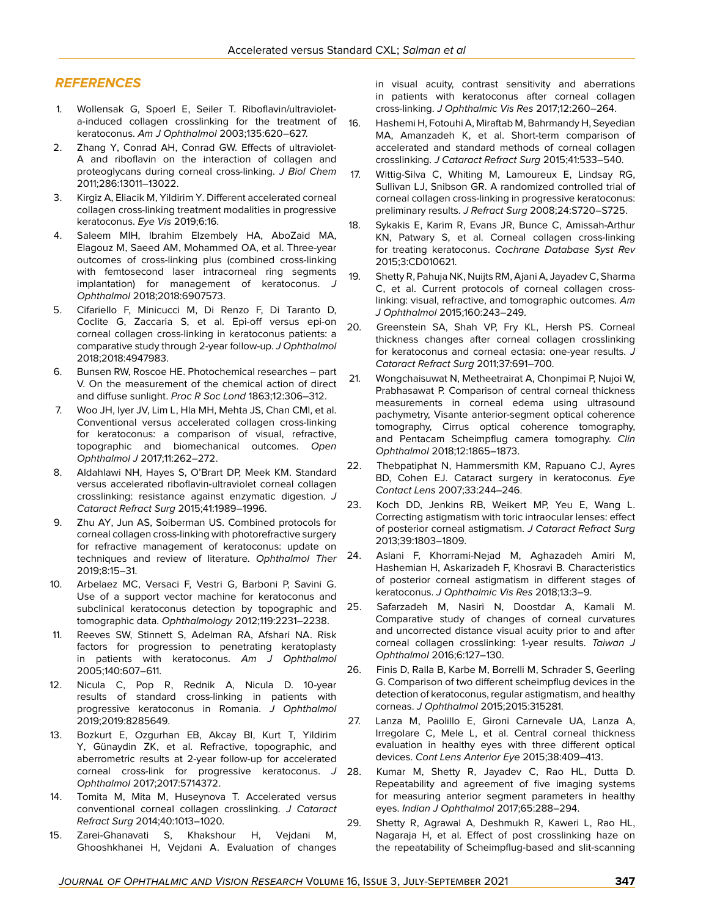#### *REFERENCES*

- <span id="page-9-0"></span>1. Wollensak G, Spoerl E, Seiler T. Riboflavin/ultravioleta-induced collagen crosslinking for the treatment of keratoconus. *Am J Ophthalmol* 2003;135:620–627.
- <span id="page-9-1"></span>2. Zhang Y, Conrad AH, Conrad GW. Effects of ultraviolet-A and riboflavin on the interaction of collagen and proteoglycans during corneal cross-linking. *J Biol Chem* 2011;286:13011–13022.
- <span id="page-9-2"></span>3. Kirgiz A, Eliacik M, Yildirim Y. Different accelerated corneal collagen cross-linking treatment modalities in progressive keratoconus. *Eye Vis* 2019;6:16.
- 4. Saleem MIH, Ibrahim Elzembely HA, AboZaid MA, Elagouz M, Saeed AM, Mohammed OA, et al. Three-year outcomes of cross-linking plus (combined cross-linking with femtosecond laser intracorneal ring segments implantation) for management of keratoconus. *J Ophthalmol* 2018;2018:6907573.
- <span id="page-9-3"></span>5. Cifariello F, Minicucci M, Di Renzo F, Di Taranto D, Coclite G, Zaccaria S, et al. Epi-off versus epi-on corneal collagen cross-linking in keratoconus patients: a comparative study through 2-year follow-up. *J Ophthalmol* 2018;2018:4947983.
- <span id="page-9-4"></span>6. Bunsen RW, Roscoe HE. Photochemical researches – part V. On the measurement of the chemical action of direct and diffuse sunlight. *Proc R Soc Lond* 1863;12:306–312.
- <span id="page-9-5"></span>7. Woo JH, Iyer JV, Lim L, Hla MH, Mehta JS, Chan CMl, et al. Conventional versus accelerated collagen cross-linking for keratoconus: a comparison of visual, refractive, topographic and biomechanical outcomes. *Open Ophthalmol J* 2017;11:262–272.
- 8. Aldahlawi NH, Hayes S, O'Brart DP, Meek KM. Standard versus accelerated riboflavin-ultraviolet corneal collagen crosslinking: resistance against enzymatic digestion. *J Cataract Refract Surg* 2015;41:1989–1996.
- <span id="page-9-6"></span>9. Zhu AY, Jun AS, Soiberman US. Combined protocols for corneal collagen cross-linking with photorefractive surgery for refractive management of keratoconus: update on techniques and review of literature. *Ophthalmol Ther* 2019;8:15–31.
- <span id="page-9-7"></span>10. Arbelaez MC, Versaci F, Vestri G, Barboni P, Savini G. Use of a support vector machine for keratoconus and subclinical keratoconus detection by topographic and tomographic data. *Ophthalmology* 2012;119:2231–2238.
- <span id="page-9-8"></span>11. Reeves SW, Stinnett S, Adelman RA, Afshari NA. Risk factors for progression to penetrating keratoplasty in patients with keratoconus. *Am J Ophthalmol* 2005;140:607–611.
- <span id="page-9-9"></span>12. Nicula C, Pop R, Rednik A, Nicula D. 10-year results of standard cross-linking in patients with progressive keratoconus in Romania. *J Ophthalmol* 2019;2019:8285649.
- <span id="page-9-10"></span>13. Bozkurt E, Ozgurhan EB, Akcay BI, Kurt T, Yildirim Y, Günaydin ZK, et al. Refractive, topographic, and aberrometric results at 2-year follow-up for accelerated corneal cross-link for progressive keratoconus. *J Ophthalmol* 2017;2017:5714372.
- <span id="page-9-11"></span>14. Tomita M, Mita M, Huseynova T. Accelerated versus conventional corneal collagen crosslinking. *J Cataract Refract Surg* 2014;40:1013–1020.
- <span id="page-9-12"></span>15. Zarei-Ghanavati S, Khakshour H, Vejdani M, Ghooshkhanei H, Vejdani A. Evaluation of changes

in visual acuity, contrast sensitivity and aberrations in patients with keratoconus after corneal collagen cross-linking. *J Ophthalmic Vis Res* 2017;12:260–264.

- <span id="page-9-13"></span>16. Hashemi H, Fotouhi A, Miraftab M, Bahrmandy H, Seyedian MA, Amanzadeh K, et al. Short-term comparison of accelerated and standard methods of corneal collagen crosslinking. *J Cataract Refract Surg* 2015;41:533–540.
- <span id="page-9-14"></span>17. Wittig-Silva C, Whiting M, Lamoureux E, Lindsay RG, Sullivan LJ, Snibson GR. A randomized controlled trial of corneal collagen cross-linking in progressive keratoconus: preliminary results. *J Refract Surg* 2008;24:S720–S725.
- <span id="page-9-15"></span>18. Sykakis E, Karim R, Evans JR, Bunce C, Amissah-Arthur KN, Patwary S, et al. Corneal collagen cross-linking for treating keratoconus. *Cochrane Database Syst Rev* 2015;3:CD010621.
- <span id="page-9-16"></span>19. Shetty R, Pahuja NK, Nuijts RM, Ajani A, Jayadev C, Sharma C, et al. Current protocols of corneal collagen crosslinking: visual, refractive, and tomographic outcomes. *Am J Ophthalmol* 2015;160:243–249.
- <span id="page-9-17"></span>20. Greenstein SA, Shah VP, Fry KL, Hersh PS. Corneal thickness changes after corneal collagen crosslinking for keratoconus and corneal ectasia: one-year results. *J Cataract Refract Surg* 2011;37:691–700.
- <span id="page-9-18"></span>21. Wongchaisuwat N, Metheetrairat A, Chonpimai P, Nujoi W, Prabhasawat P. Comparison of central corneal thickness measurements in corneal edema using ultrasound pachymetry, Visante anterior-segment optical coherence tomography, Cirrus optical coherence tomography, and Pentacam Scheimpflug camera tomography. *Clin Ophthalmol* 2018;12:1865–1873.
- <span id="page-9-19"></span>22. Thebpatiphat N, Hammersmith KM, Rapuano CJ, Ayres BD, Cohen EJ. Cataract surgery in keratoconus. *Eye Contact Lens* 2007;33:244–246.
- <span id="page-9-20"></span>23. Koch DD, Jenkins RB, Weikert MP, Yeu E, Wang L. Correcting astigmatism with toric intraocular lenses: effect of posterior corneal astigmatism. *J Cataract Refract Surg* 2013;39:1803–1809.
- <span id="page-9-21"></span>24. Aslani F, Khorrami-Nejad M, Aghazadeh Amiri M, Hashemian H, Askarizadeh F, Khosravi B. Characteristics of posterior corneal astigmatism in different stages of keratoconus. *J Ophthalmic Vis Res* 2018;13:3–9.
- <span id="page-9-22"></span>25. Safarzadeh M, Nasiri N, Doostdar A, Kamali M. Comparative study of changes of corneal curvatures and uncorrected distance visual acuity prior to and after corneal collagen crosslinking: 1-year results. *Taiwan J Ophthalmol* 2016;6:127–130.
- <span id="page-9-23"></span>26. Finis D, Ralla B, Karbe M, Borrelli M, Schrader S, Geerling G. Comparison of two different scheimpflug devices in the detection of keratoconus, regular astigmatism, and healthy corneas. *J Ophthalmol* 2015;2015:315281.
- 27. Lanza M, Paolillo E, Gironi Carnevale UA, Lanza A, Irregolare C, Mele L, et al. Central corneal thickness evaluation in healthy eyes with three different optical devices. *Cont Lens Anterior Eye* 2015;38:409–413.
- <span id="page-9-24"></span>Kumar M, Shetty R, Jayadev C, Rao HL, Dutta D. Repeatability and agreement of five imaging systems for measuring anterior segment parameters in healthy eyes. *Indian J Ophthalmol* 2017;65:288–294.
- <span id="page-9-25"></span>29. Shetty R, Agrawal A, Deshmukh R, Kaweri L, Rao HL, Nagaraja H, et al. Effect of post crosslinking haze on the repeatability of Scheimpflug-based and slit-scanning